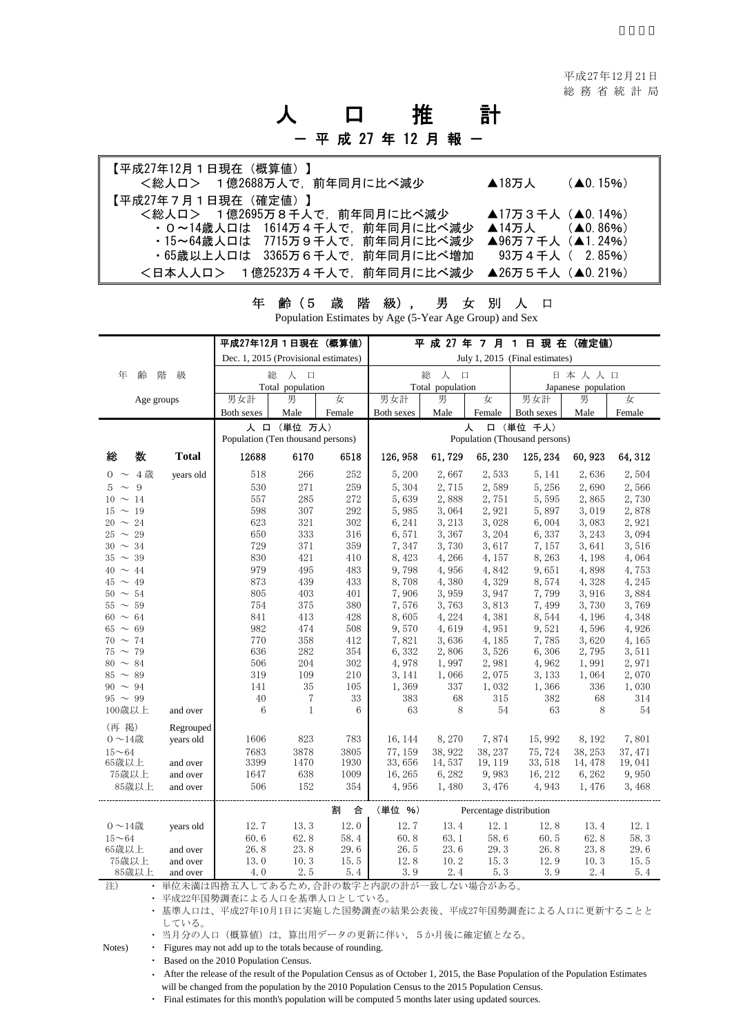## 人 口 推 計 - 平 成 27 年 12 月 報 一

| 【平成27年12月1日現在(概算値)】<br><総人ロ> 1億2688万人で、前年同月に比べ減少 | $\blacktriangle$ 18万人 | $(40.15\%)$ |
|--------------------------------------------------|-----------------------|-------------|
| 【平成27年7月1日現在(確定値)】                               |                       |             |
| <総人ロ> 1億2695万8千人で,前年同月に比べ減少                      | ▲17万3千人 (▲0.14%)      |             |
| ・0~14歳人口は 1614万4千人で、前年同月に比べ減少                    | ▲14万人 $($ △0,86% $)$  |             |
| ・15~64歳人口は 7715万9千人で、前年同月に比べ減少                   | ▲96万7千人(▲1.24%)       |             |
| ・65歳以上人口は 3365万6千人で,前年同月に比べ増加                    | 93万4千人( 2.85%)        |             |
| <日本人人口> 1億2523万4千人で,前年同月に比べ減少 ▲26万5千人(▲0.21%)    |                       |             |

|                              |              | 平成27年12月1日現在(概算値)                    |                  |            |                                |                |                         | 平 成 27 年 7 月 1 日 現 在 (確定値) |                 |                |
|------------------------------|--------------|--------------------------------------|------------------|------------|--------------------------------|----------------|-------------------------|----------------------------|-----------------|----------------|
|                              |              | Dec. 1, 2015 (Provisional estimates) |                  |            | July 1, 2015 (Final estimates) |                |                         |                            |                 |                |
| 齢<br>年                       | 階<br>級       | 総<br>人 口                             |                  |            | 総<br>人口                        |                |                         | 日本人人口                      |                 |                |
|                              |              |                                      | Total population |            | Total population               |                |                         | Japanese population        |                 |                |
| Age groups                   |              | 男女計                                  | 男                | 女          | 男女計                            | 男              | 女                       | 男女計                        | 男               | 女              |
|                              |              | Both sexes                           | Male             | Female     | Both sexes                     | Male           | Female                  | Both sexes                 | Male            | Female         |
|                              |              | Population (Ten thousand persons)    | 人 口 (単位 万人)      |            | 口 (単位 千人)<br>人                 |                |                         |                            |                 |                |
|                              |              |                                      |                  |            | Population (Thousand persons)  |                |                         |                            |                 |                |
| 数<br>総                       | <b>Total</b> | 12688                                | 6170             | 6518       | 126, 958                       | 61,729         | 65,230                  | 125, 234                   | 60, 923         | 64, 312        |
| $0 \sim 4$ 歳                 | years old    | 518                                  | 266              | 252        | 5,200                          | 2,667          | 2,533                   | 5, 141                     | 2,636           | 2,504          |
| 9<br>$5 \sim$                |              | 530                                  | 271              | 259        | 5,304                          | 2,715          | 2,589                   | 5,256                      | 2,690           | 2,566          |
| $10 \sim 14$                 |              | 557                                  | 285              | 272        | 5,639                          | 2,888          | 2,751                   | 5,595                      | 2,865           | 2,730          |
| $15 \sim 19$                 |              | 598                                  | 307              | 292        | 5,985                          | 3,064          | 2,921                   | 5,897                      | 3,019           | 2,878          |
| $20 \sim 24$                 |              | 623                                  | 321              | 302        | 6, 241                         | 3, 213         | 3,028                   | 6,004                      | 3,083           | 2,921          |
| $25 \sim 29$                 |              | 650                                  | 333              | 316        | 6,571                          | 3,367          | 3, 204                  | 6,337                      | 3, 243          | 3,094          |
| $30 \sim 34$<br>$35 \sim 39$ |              | 729<br>830                           | 371<br>421       | 359        | 7,347<br>8,423                 | 3,730<br>4,266 | 3,617                   | 7,157<br>8,263             | 3,641           | 3,516          |
| $40 \sim 44$                 |              | 979                                  | 495              | 410<br>483 | 9,798                          | 4,956          | 4, 157<br>4,842         | 9,651                      | 4, 198<br>4,898 | 4,064<br>4,753 |
| $45 \sim 49$                 |              | 873                                  | 439              | 433        | 8,708                          | 4,380          | 4,329                   | 8,574                      | 4,328           | 4,245          |
| $50 \sim 54$                 |              | 805                                  | 403              | 401        | 7,906                          | 3,959          | 3,947                   | 7,799                      | 3,916           | 3,884          |
| $55 \sim 59$                 |              | 754                                  | 375              | 380        | 7,576                          | 3,763          | 3,813                   | 7,499                      | 3,730           | 3,769          |
| $60 \sim 64$                 |              | 841                                  | 413              | 428        | 8,605                          | 4,224          | 4,381                   | 8,544                      | 4, 196          | 4,348          |
| $65 \sim 69$                 |              | 982                                  | 474              | 508        | 9,570                          | 4,619          | 4,951                   | 9,521                      | 4.596           | 4,926          |
| $70 \sim 74$                 |              | 770                                  | 358              | 412        | 7,821                          | 3,636          | 4,185                   | 7,785                      | 3.620           | 4,165          |
| $75 \sim 79$                 |              | 636                                  | 282              | 354        | 6,332                          | 2,806          | 3,526                   | 6,306                      | 2,795           | 3,511          |
| $80 \sim 84$                 |              | 506                                  | 204              | 302        | 4,978                          | 1,997          | 2,981                   | 4,962                      | 1,991           | 2,971          |
| $85 \sim 89$                 |              | 319                                  | 109              | 210        | 3, 141                         | 1,066          | 2,075                   | 3, 133                     | 1,064           | 2,070          |
| $90 \sim 94$                 |              | 141                                  | 35               | 105        | 1,369                          | 337            | 1,032                   | 1,366                      | 336             | 1,030          |
| $95 \sim 99$                 |              | 40                                   | $\overline{7}$   | 33         | 383                            | 68             | 315                     | 382                        | 68              | 314            |
| 100歳以上                       | and over     | 6                                    | $\mathbf{1}$     | 6          | 63                             | 8              | 54                      | 63                         | 8               | 54             |
| (再 掲)                        | Regrouped    |                                      |                  |            |                                |                |                         |                            |                 |                |
| $0 \sim 14$ 歳                | years old    | 1606                                 | 823              | 783        | 16, 144                        | 8,270          | 7,874                   | 15,992                     | 8, 192          | 7,801          |
| $15 - 64$                    |              | 7683                                 | 3878             | 3805       | 77.159                         | 38, 922        | 38, 237                 | 75, 724                    | 38, 253         | 37.471         |
| 65歳以上                        | and over     | 3399                                 | 1470             | 1930       | 33,656                         | 14,537         | 19, 119                 | 33, 518                    | 14, 478         | 19,041         |
| 75歳以上                        | and over     | 1647                                 | 638              | 1009       | 16, 265                        | 6,282          | 9,983                   | 16, 212                    | 6,262           | 9,950          |
| 85歳以上                        | and over     | 506                                  | 152              | 354        | 4,956                          | 1,480          | 3,476                   | 4,943                      | 1,476           | 3,468          |
|                              |              |                                      |                  | 合<br>割     | (単位 %)                         |                | Percentage distribution |                            |                 |                |
| $0 \sim 14$ 歳                | years old    | 12.7                                 | 13.3             | 12.0       | 12.7                           | 13.4           | 12.1                    | 12.8                       | 13.4            | 12.1           |
| $15 - 64$                    |              | 60.6                                 | 62.8             | 58.4       | 60.8                           | 63.1           | 58.6                    | 60.5                       | 62.8            | 58.3           |
| 65歳以上                        | and over     | 26.8                                 | 23.8             | 29.6       | 26.5                           | 23.6           | 29.3                    | 26.8                       | 23.8            | 29.6           |
| 75歳以上                        | and over     | 13.0                                 | 10.3             | 15.5       | 12.8                           | 10.2           | 15.3                    | 12.9                       | 10.3            | 15.5           |
| 85歳以上                        | and over     | 4.0                                  | 2.5              | 5.4        | 3.9                            | 2.4            | 5.3                     | 3.9                        | 2.4             | 5.4            |
|                              |              |                                      |                  |            |                                |                | $\overline{1}$          |                            |                 |                |

年 齢(5 歳 階 級), 男 女 別 人 口 Population Estimates by Age (5-Year Age Group) and Sex

注) ・ 単位未満は四捨五入してあるため,合計の数字と内訳の計が一致しない場合がある。

・ 平成22年国勢調査による人口を基準人口としている。

・ 基準人口は、平成27年10月1日に実施した国勢調査の結果公表後、平成27年国勢調査による人口に更新することと している。

・ 当月分の人口(概算値)は, 算出用データの更新に伴い、5か月後に確定値となる。

Notes) • Figures may not add up to the totals because of rounding.

・ Based on the 2010 Population Census.

・ After the release of the result of the Population Census as of October 1, 2015, the Base Population of the Population Estimates will be changed from the population by the 2010 Population Census to the 2015 Population Census.

・ Final estimates for this month's population will be computed 5 months later using updated sources.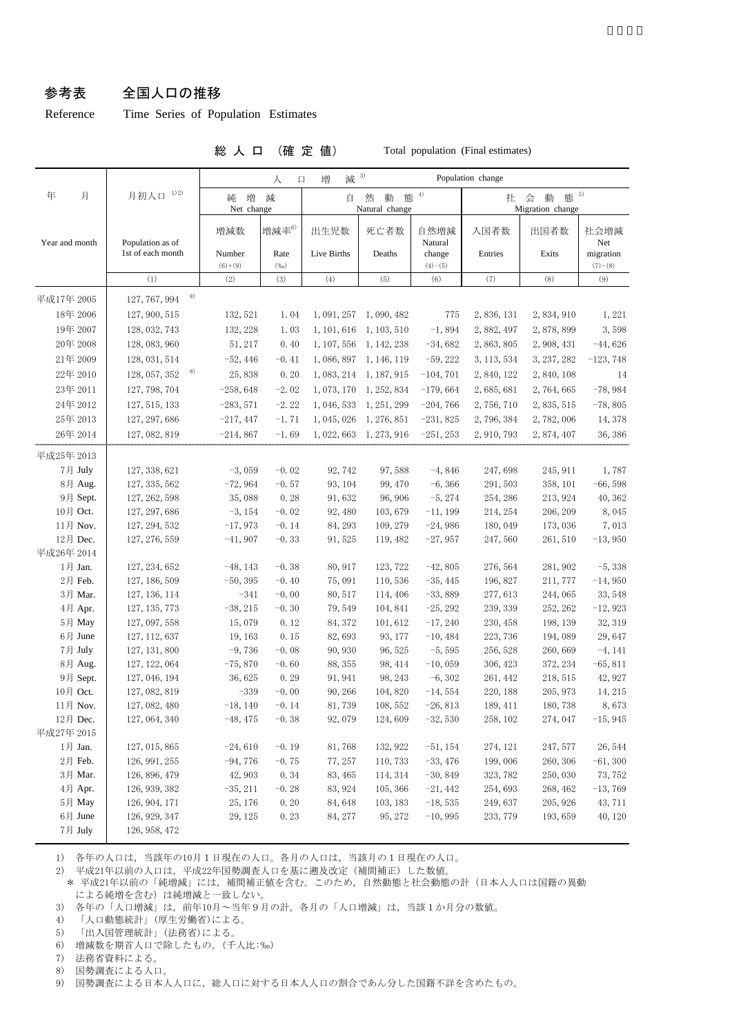## 参考表 全国人口の推移

## Reference Time Series of Population Estimates

総 人 口 (確 定 値) Total population (Final estimates)

|                          |                     | 減 3)<br>増<br>Population change<br>人<br>口 |                 |                                        |                         |                     |                                         |             |                        |
|--------------------------|---------------------|------------------------------------------|-----------------|----------------------------------------|-------------------------|---------------------|-----------------------------------------|-------------|------------------------|
| 年<br>月                   | 1) 2)<br>月初人口       | 増<br>純<br>Net change                     | 減               | 態 $4$<br>然<br>動<br>自<br>Natural change |                         |                     | 態 5)<br>会<br>動<br>社<br>Migration change |             |                        |
| Year and month           | Population as of    | 増減数                                      | 増減率6)           | 出生児数                                   | 死亡者数                    | 自然増減<br>Natural     | 入国者数                                    | 出国者数        | 社会増減<br>Net            |
|                          | 1st of each month   | Number<br>$(6)+(9)$                      | Rate<br>$(\%0)$ | Live Births                            | Deaths                  | change<br>$(4)-(5)$ | Entries                                 | Exits       | migration<br>$(7)-(8)$ |
|                          | (1)                 | (2)                                      | (3)             |                                        | (5)                     | (6)                 | (7)                                     | (8)         | (9)                    |
| 平成17年 2005               | 8)<br>127, 767, 994 |                                          |                 |                                        |                         |                     |                                         |             |                        |
| 18年 2006                 | 127, 900, 515       | 132, 521                                 | 1.04            | 1, 091, 257                            | 1,090,482               | 775                 | 2,836,131                               | 2,834,910   | 1,221                  |
| 19年 2007                 | 128, 032, 743       | 132, 228                                 | 1.03            | 1, 101, 616                            | 1, 103, 510             | $-1,894$            | 2,882,497                               | 2,878,899   | 3,598                  |
| 20年 2008                 | 128, 083, 960       | 51, 217                                  | 0.40            | 1, 107, 556                            | 1, 142, 238             | $-34,682$           | 2, 863, 805                             | 2, 908, 431 | $-44,626$              |
| 21年 2009                 | 128, 031, 514       | $-52,446$                                | $-0.41$         | 1,086,897                              | 1, 146, 119             | $-59,222$           | 3, 113, 534                             | 3, 237, 282 | $-123, 748$            |
| 22年 2010                 | 8)<br>128, 057, 352 | 25,838                                   | 0.20            | 1, 083, 214                            | 1, 187, 915             | $-104, 701$         | 2,840,122                               | 2,840,108   | 14                     |
| 23年 2011                 | 127, 798, 704       | $-258,648$                               | $-2.02$         | 1,073,170                              | 1, 252, 834             | $-179,664$          | 2,685,681                               | 2,764,665   | $-78,984$              |
| 24年 2012                 | 127, 515, 133       | $-283,571$                               | $-2.22$         | 1, 046, 533                            | 1, 251, 299             | $-204,766$          | 2,756,710                               | 2, 835, 515 | $-78,805$              |
| 25年 2013                 | 127, 297, 686       | $-217,447$                               | $-1.71$         | 1, 045, 026                            | 1, 276, 851             | $-231,825$          | 2,796,384                               | 2,782,006   | 14, 378                |
|                          |                     |                                          |                 |                                        |                         |                     |                                         |             |                        |
| 26年 2014                 | 127, 082, 819       | $-214,867$                               | $-1.69$         |                                        | 1, 022, 663 1, 273, 916 | $-251, 253$         | 2, 910, 793                             | 2,874,407   | 36, 386                |
| 平成25年 2013               |                     |                                          |                 |                                        |                         |                     |                                         |             |                        |
| 7月 July                  | 127, 338, 621       | $-3,059$                                 | $-0.02$         | 92,742                                 | 97,588                  | $-4,846$            | 247,698                                 | 245, 911    | 1,787                  |
| 8月 Aug.                  | 127, 335, 562       | $-72,964$                                | $-0.57$         | 93, 104                                | 99, 470                 | $-6, 366$           | 291,503                                 | 358, 101    | $-66,598$              |
| 9月 Sept.                 | 127, 262, 598       | 35,088                                   | 0.28            | 91,632                                 | 96, 906                 | $-5, 274$           | 254, 286                                | 213, 924    | 40, 362                |
| 10月 Oct.                 | 127, 297, 686       | $-3, 154$                                | $-0.02$         | 92, 480                                | 103,679                 | $-11, 199$          | 214, 254                                | 206, 209    | 8,045                  |
| 11月 Nov.                 | 127, 294, 532       | $-17,973$                                | $-0.14$         | 84, 293                                | 109, 279                | $-24,986$           | 180, 049                                | 173, 036    | 7,013                  |
| 12月 Dec.                 | 127, 276, 559       | $-41,907$                                | $-0.33$         | 91, 525                                | 119, 482                | $-27,957$           | 247,560                                 | 261, 510    | $-13,950$              |
| 平成26年 2014               |                     |                                          |                 |                                        |                         |                     |                                         |             |                        |
| 1月 Jan.                  | 127, 234, 652       | $-48, 143$                               | $-0.38$         | 80, 917                                | 123, 722                | $-42,805$           | 276, 564                                | 281, 902    | $-5,338$               |
| 2月 Feb.                  | 127, 186, 509       | $-50, 395$                               | $-0.40$         | 75,091                                 | 110,536                 | $-35, 445$          | 196, 827                                | 211, 777    | $-14,950$              |
| 3月 Mar.                  | 127, 136, 114       | $-341$                                   | $-0.00$         | 80, 517                                | 114, 406                | $-33,889$           | 277, 613                                | 244,065     | 33, 548                |
| $4\,\mathrm{\r{A}}$ Apr. | 127, 135, 773       | $-38, 215$                               | $-0.30$         | 79,549                                 | 104, 841                | $-25, 292$          | 239, 339                                | 252, 262    | $-12,923$              |
| 5月 May                   | 127, 097, 558       | 15,079                                   | 0.12            | 84, 372                                | 101,612                 | $-17, 240$          | 230, 458                                | 198, 139    | 32, 319                |
| 6月 June                  | 127, 112, 637       | 19, 163                                  | 0.15            | 82,693                                 | 93, 177                 | $-10,484$           | 223, 736                                | 194,089     | 29,647                 |
| 7月 July                  | 127, 131, 800       | $-9,736$                                 | $-0.08$         | 90, 930                                | 96, 525                 | $-5,595$            | 256, 528                                | 260,669     | $-4, 141$              |
| 8月 Aug.                  | 127, 122, 064       | $-75,870$                                | $-0.60$         | 88, 355                                | 98, 414                 | $-10,059$           | 306, 423                                | 372, 234    | $-65, 811$             |
| 9月 Sept.                 | 127, 046, 194       | 36, 625                                  | 0.29            | 91, 941                                | 98, 243                 | $-6, 302$           | 261, 442                                | 218, 515    | 42, 927                |
| 10月 Oct.                 | 127, 082, 819       | $-339$                                   | $-0.00$         | 90, 266                                | 104,820                 | $-14,554$           | 220, 188                                | 205, 973    | 14, 215                |
| 11月 Nov.                 | 127, 082, 480       | $-18, 140$                               | $-0.14$         | 81,739                                 | 108, 552                | $-26,813$           | 189, 411                                | 180, 738    | 8,673                  |
| 12月 Dec.                 | 127, 064, 340       | $-48, 475$                               | $-0.38$         | 92,079                                 | 124,609                 | $-32,530$           | 258, 102                                | 274, 047    | $-15,945$              |
| 平成27年 2015               |                     |                                          |                 |                                        |                         |                     |                                         |             |                        |
| 1月 Jan.                  | 127, 015, 865       | $-24,610$                                | $-0.19$         | 81,768                                 | 132, 922                | $-51, 154$          | 274, 121                                | 247, 577    | 26, 544                |
| 2月 Feb.                  | 126, 991, 255       | $-94,776$                                | $-0.75$         | 77, 257                                | 110,733                 | $-33,476$           | 199,006                                 | 260, 306    | $-61, 300$             |
| 3月 Mar.                  | 126, 896, 479       | 42, 903                                  | 0.34            | 83, 465                                | 114, 314                | $-30,849$           | 323, 782                                | 250,030     | 73, 752                |
| 4月 Apr.                  | 126, 939, 382       | $-35, 211$                               | $-0.28$         | 83, 924                                | 105, 366                | $-21,442$           | 254,693                                 | 268, 462    | $-13,769$              |
| 5月 May                   | 126, 904, 171       | 25, 176                                  | $0.\,20$        | 84,648                                 | 103, 183                | $-18,535$           | 249,637                                 | 205, 926    | 43, 711                |
| 6月 June                  | 126, 929, 347       | 29, 125                                  | 0.23            | 84, 277                                | 95, 272                 | $-10,995$           | 233, 779                                | 193, 659    | 40, 120                |
| 7月 July                  | 126, 958, 472       |                                          |                 |                                        |                         |                     |                                         |             |                        |

1) 各年の人口は,当該年の10月1日現在の人口。各月の人口は,当該月の1日現在の人口。

2) 平成21年以前の人口は,平成22年国勢調査人口を基に遡及改定(補間補正)した数値。

\* 平成21年以前の「純増減」には、補間補正値を含む。このため、自然動態と社会動態の計(日本人人口は国籍の異動 による純増を含む)は純増減と一致しない。

3) 各年の「人口増減」は、 前年10月~当年9月の計。各月の「人口増減」は、当該1か月分の数値。

4) 「人口動態統計」(厚生労働省)による。

5) 「出入国管理統計」(法務省)による。

6) 増減数を期首人口で除したもの。(千人比:‰)

7) 法務省資料による。

8) 国勢調査による人口。

9) 国勢調査による日本人人口に,総人口に対する日本人人口の割合であん分した国籍不詳を含めたもの。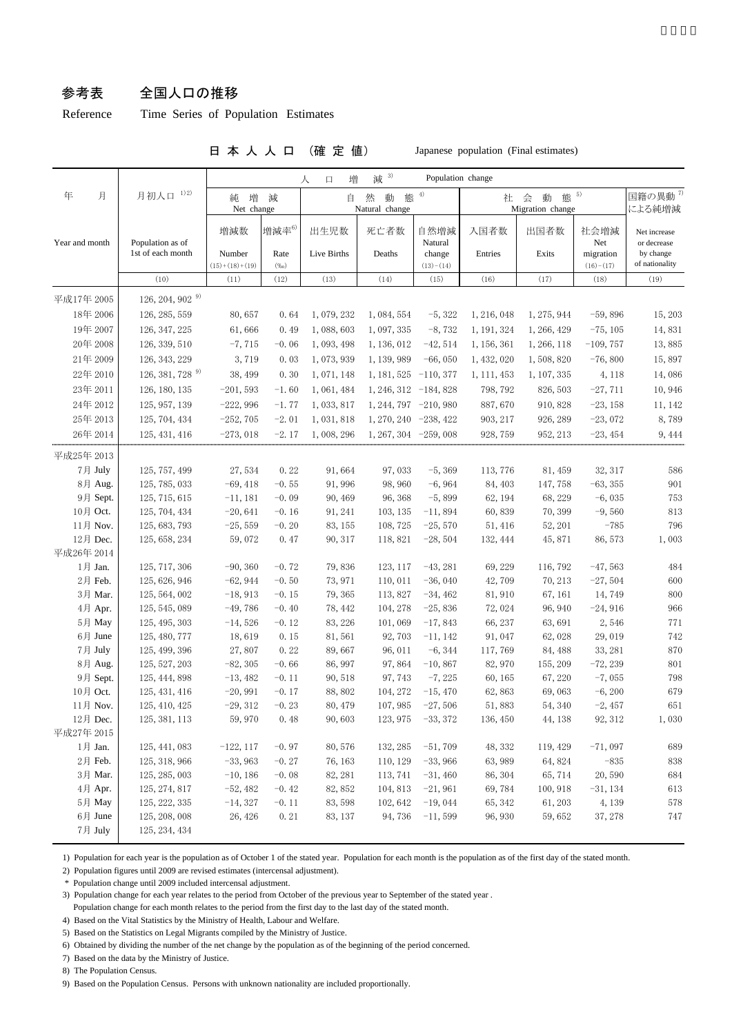## 参考表 全国人口の推移

Reference Time Series of Population Estimates

日 本 人 人 口 (確 定 値) Japanese population (Final estimates)

|                |                               |                            |                                                                 | 増<br>$\Box$<br>人 | 减 3)                    | Population change                |                  |             |                                 |                                            |
|----------------|-------------------------------|----------------------------|-----------------------------------------------------------------|------------------|-------------------------|----------------------------------|------------------|-------------|---------------------------------|--------------------------------------------|
| 月<br>年         | 1)2)<br>月初人口                  | 純                          | 態 5)<br>態 <sup>4)</sup><br>増<br>然<br>減<br>自<br>動<br>社<br>会<br>動 |                  |                         | 国籍の異動 <sup>7)</sup>              |                  |             |                                 |                                            |
|                |                               | Net change                 |                                                                 |                  | Natural change          |                                  | Migration change |             | による純増減                          |                                            |
|                | Population as of              | 増減数                        | 増減率6)                                                           | 出生児数             | 死亡者数                    | 自然増減                             | 入国者数             | 出国者数        | 社会増減                            | Net increase                               |
| Year and month | 1st of each month             | Number<br>$(15)+(18)+(19)$ | Rate<br>(%o)                                                    | Live Births      | Deaths                  | Natural<br>change<br>$(13)-(14)$ | Entries          | Exits       | Net<br>migration<br>$(16)-(17)$ | or decrease<br>by change<br>of nationality |
|                | (10)                          | (11)                       | (12)                                                            | (13)             | (14)                    | (15)                             | (16)             | (17)        | (18)                            | (19)                                       |
| 平成17年 2005     | $126, 204, 902^{9}$           |                            |                                                                 |                  |                         |                                  |                  |             |                                 |                                            |
| 18年 2006       | 126, 285, 559                 | 80,657                     | 0.64                                                            | 1,079,232        | 1, 084, 554             | $-5,322$                         | 1, 216, 048      | 1, 275, 944 | $-59,896$                       | 15, 203                                    |
| 19年 2007       | 126, 347, 225                 | 61,666                     | 0.49                                                            | 1,088,603        | 1,097,335               | $-8,732$                         | 1, 191, 324      | 1, 266, 429 | $-75, 105$                      | 14,831                                     |
| 20年 2008       | 126, 339, 510                 | $-7,715$                   | $-0.06$                                                         | 1,093,498        | 1, 136, 012             | $-42,514$                        | 1, 156, 361      | 1, 266, 118 | $-109,757$                      | 13,885                                     |
| 21年 2009       | 126, 343, 229                 | 3,719                      | 0.03                                                            | 1,073,939        | 1, 139, 989             | $-66,050$                        | 1, 432, 020      | 1,508,820   | $-76,800$                       | 15,897                                     |
| 22年 2010       | $126, 381, 728$ <sup>9)</sup> |                            |                                                                 | 1,071,148        |                         |                                  |                  |             |                                 |                                            |
|                |                               | 38, 499                    | 0.30                                                            |                  | $1, 181, 525 -110, 377$ |                                  | 1, 111, 453      | 1, 107, 335 | 4, 118                          | 14,086                                     |
| 23年 2011       | 126, 180, 135                 | $-201,593$                 | $-1.60$                                                         | 1,061,484        | $1, 246, 312 -184, 828$ |                                  | 798, 792         | 826, 503    | $-27,711$                       | 10,946                                     |
| 24年 2012       | 125, 957, 139                 | $-222,996$                 | $-1.77$                                                         | 1,033,817        | $1, 244, 797 -210, 980$ |                                  | 887,670          | 910, 828    | $-23, 158$                      | 11, 142                                    |
| 25年 2013       | 125, 704, 434                 | $-252,705$                 | $-2.01$                                                         | 1,031,818        | $1, 270, 240 -238, 422$ |                                  | 903, 217         | 926, 289    | $-23,072$                       | 8,789                                      |
| 26年 2014       | 125, 431, 416                 | $-273,018$                 | $-2.17$                                                         | 1,008,296        | $1, 267, 304 -259, 008$ |                                  | 928, 759         | 952, 213    | $-23,454$                       | 9, 444                                     |
| 平成25年 2013     |                               |                            |                                                                 |                  |                         |                                  |                  |             |                                 |                                            |
| 7月 July        | 125, 757, 499                 | 27,534                     | 0.22                                                            | 91,664           | 97,033                  | $-5, 369$                        | 113, 776         | 81, 459     | 32, 317                         | 586                                        |
| 8月 Aug.        | 125, 785, 033                 | $-69, 418$                 | $-0.55$                                                         | 91, 996          | 98, 960                 | $-6,964$                         | 84, 403          | 147,758     | $-63, 355$                      | 901                                        |
| 9月 Sept.       | 125, 715, 615                 | $-11, 181$                 | $-0.09$                                                         | 90, 469          | 96, 368                 | $-5,899$                         | 62, 194          | 68, 229     | $-6,035$                        | 753                                        |
| 10月 Oct.       | 125, 704, 434                 | $-20,641$                  | $-0.16$                                                         | 91, 241          | 103, 135                | $-11,894$                        | 60,839           | 70,399      | $-9,560$                        | 813                                        |
| 11月 Nov.       | 125, 683, 793                 | $-25,559$                  | $-0.20$                                                         | 83, 155          | 108,725                 | $-25,570$                        | 51, 416          | 52, 201     | $-785$                          | 796                                        |
| 12月 Dec.       | 125, 658, 234                 | 59,072                     | 0.47                                                            | 90, 317          | 118, 821                | $-28,504$                        | 132, 444         | 45,871      | 86, 573                         | 1,003                                      |
| 平成26年 2014     |                               |                            |                                                                 |                  |                         |                                  |                  |             |                                 |                                            |
| 1月 Jan.        | 125, 717, 306                 | $-90, 360$                 | $-0.72$                                                         | 79,836           | 123, 117                | $-43,281$                        | 69, 229          | 116, 792    | $-47,563$                       | 484                                        |
| 2月 Feb.        | 125, 626, 946                 | $-62,944$                  | $-0.50$                                                         | 73, 971          | 110, 011                | $-36,040$                        | 42,709           | 70, 213     | $-27,504$                       | 600                                        |
| 3月 Mar.        | 125, 564, 002                 | $-18,913$                  | $-0.15$                                                         | 79, 365          | 113,827                 | $-34,462$                        | 81, 910          | 67, 161     | 14,749                          | 800                                        |
| 4月 Apr.        | 125, 545, 089                 | $-49,786$                  | $-0.40$                                                         | 78, 442          | 104, 278                | $-25,836$                        | 72,024           | 96, 940     | $-24,916$                       | 966                                        |
| 5月 May         | 125, 495, 303                 | $-14,526$                  | $-0.12$                                                         | 83, 226          | 101,069                 | $-17,843$                        | 66, 237          | 63,691      | 2,546                           | 771                                        |
| 6月 June        | 125, 480, 777                 | 18,619                     | 0.15                                                            | 81,561           | 92, 703                 | $-11, 142$                       | 91,047           | 62,028      | 29,019                          | 742                                        |
| 7月 July        | 125, 499, 396                 | 27,807                     | 0.22                                                            | 89,667           | 96, 011                 | $-6, 344$                        | 117,769          | 84, 488     | 33, 281                         | 870                                        |
| 8月 Aug.        | 125, 527, 203                 | $-82, 305$                 | $-0.66$                                                         | 86, 997          | 97,864                  | $-10,867$                        | 82, 970          | 155, 209    | $-72,239$                       | 801                                        |
| 9月 Sept.       | 125, 444, 898                 | $-13,482$                  | $-0.11$                                                         | 90, 518          | 97, 743                 | $-7,225$                         | 60, 165          | 67, 220     | $-7,055$                        | 798                                        |
| 10月 Oct.       | 125, 431, 416                 | $-20,991$                  | $-0.17$                                                         | 88, 802          | 104, 272                | $-15,470$                        | 62,863           | 69,063      | $-6, 200$                       | 679                                        |
| 11月 Nov.       | 125, 410, 425                 | $-29,312$                  | $-0.23$                                                         | 80, 479          | 107, 985                | $-27,506$                        | 51,883           | 54, 340     | $-2,457$                        | 651                                        |
| 12月 Dec.       | 125, 381, 113                 | 59,970                     | 0.48                                                            | 90,603           |                         | 123, 975 -33, 372                | 136, 450         | 44, 138     | 92, 312                         | 1,030                                      |
| 平成27年 2015     |                               |                            |                                                                 |                  |                         |                                  |                  |             |                                 |                                            |
| 1月 Jan.        | 125, 441, 083                 | $-122, 117$                | $-0.97$                                                         | 80,576           | 132, 285                | $-51,709$                        | 48, 332          | 119, 429    | $-71,097$                       | 689                                        |
| 2月 Feb.        | 125, 318, 966                 | $-33,963$                  | $-0.27$                                                         | 76, 163          | 110, 129                | $-33,966$                        | 63, 989          | 64,824      | $-835$                          | 838                                        |
| 3月 Mar.        | 125, 285, 003                 | $-10, 186$                 | $-0.08$                                                         | 82, 281          | 113, 741                | $-31,460$                        | 86, 304          | 65,714      | 20,590                          | 684                                        |
| 4月 Apr.        | 125, 274, 817                 | $-52,482$                  | $-0.42$                                                         | 82, 852          | 104, 813                | $-21,961$                        | 69,784           | 100, 918    | $-31, 134$                      | 613                                        |
| 5月 May         | 125, 222, 335                 | $-14,327$                  | $-0.11$                                                         | 83, 598          | 102,642                 | $-19,044$                        | 65, 342          | 61, 203     | 4, 139                          | 578                                        |
| 6月 June        | 125, 208, 008                 | 26, 426                    | 0.21                                                            | 83, 137          | 94,736                  | $-11,599$                        | 96, 930          | 59,652      | 37, 278                         | 747                                        |
| 7月 July        | 125, 234, 434                 |                            |                                                                 |                  |                         |                                  |                  |             |                                 |                                            |

1) Population for each year is the population as of October 1 of the stated year. Population for each month is the population as of the first day of the stated month.

2) Population figures until 2009 are revised estimates (intercensal adjustment).

\* Population change until 2009 included intercensal adjustment.

3) Population change for each year relates to the period from October of the previous year to September of the stated year .

Population change for each month relates to the period from the first day to the last day of the stated month.

4) Based on the Vital Statistics by the Ministry of Health, Labour and Welfare.

5) Based on the Statistics on Legal Migrants compiled by the Ministry of Justice.

6) Obtained by dividing the number of the net change by the population as of the beginning of the period concerned.

7) Based on the data by the Ministry of Justice.

8) The Population Census.

9) Based on the Population Census. Persons with unknown nationality are included proportionally.